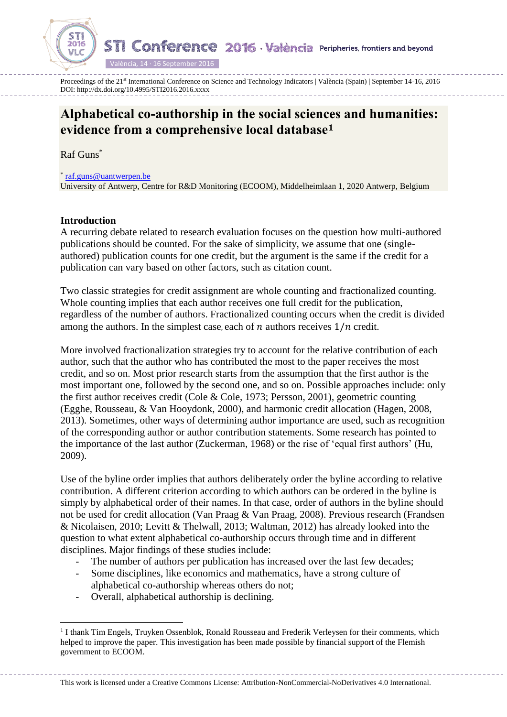**STI Conference 2016 València Peripheries, frontiers and beyond** 

València, 14 · 16 September 2016

Proceedings of the 21<sup>st</sup> International Conference on Science and Technology Indicators | València (Spain) | September 14-16, 2016 DOI: http://dx.doi.org/10.4995/STI2016.2016.xxxx

# **Alphabetical co-authorship in the social sciences and humanities: evidence from a comprehensive local database<sup>1</sup>**

Raf Guns\*

2016

\* [raf.guns@uantwerpen.be](mailto:raf.guns@uantwerpen.be)

University of Antwerp, Centre for R&D Monitoring (ECOOM), Middelheimlaan 1, 2020 Antwerp, Belgium

# **Introduction**

 $\overline{a}$ 

A recurring debate related to research evaluation focuses on the question how multi-authored publications should be counted. For the sake of simplicity, we assume that one (singleauthored) publication counts for one credit, but the argument is the same if the credit for a publication can vary based on other factors, such as citation count.

Two classic strategies for credit assignment are whole counting and fractionalized counting. Whole counting implies that each author receives one full credit for the publication, regardless of the number of authors. Fractionalized counting occurs when the credit is divided among the authors. In the simplest case, each of  $n$  authors receives  $1/n$  credit.

More involved fractionalization strategies try to account for the relative contribution of each author, such that the author who has contributed the most to the paper receives the most credit, and so on. Most prior research starts from the assumption that the first author is the most important one, followed by the second one, and so on. Possible approaches include: only the first author receives credit (Cole & Cole, 1973; Persson, 2001), geometric counting (Egghe, Rousseau, & Van Hooydonk, 2000), and harmonic credit allocation (Hagen, 2008, 2013). Sometimes, other ways of determining author importance are used, such as recognition of the corresponding author or author contribution statements. Some research has pointed to the importance of the last author (Zuckerman, 1968) or the rise of 'equal first authors' (Hu, 2009).

Use of the byline order implies that authors deliberately order the byline according to relative contribution. A different criterion according to which authors can be ordered in the byline is simply by alphabetical order of their names. In that case, order of authors in the byline should not be used for credit allocation (Van Praag & Van Praag, 2008). Previous research (Frandsen & Nicolaisen, 2010; Levitt & Thelwall, 2013; Waltman, 2012) has already looked into the question to what extent alphabetical co-authorship occurs through time and in different disciplines. Major findings of these studies include:

- The number of authors per publication has increased over the last few decades;
- Some disciplines, like economics and mathematics, have a strong culture of alphabetical co-authorship whereas others do not;
- Overall, alphabetical authorship is declining.

This work is licensed under a Creative Commons License: Attribution-NonCommercial-NoDerivatives 4.0 International.

<sup>&</sup>lt;sup>1</sup> I thank Tim Engels, Truyken Ossenblok, Ronald Rousseau and Frederik Verleysen for their comments, which helped to improve the paper. This investigation has been made possible by financial support of the Flemish government to ECOOM.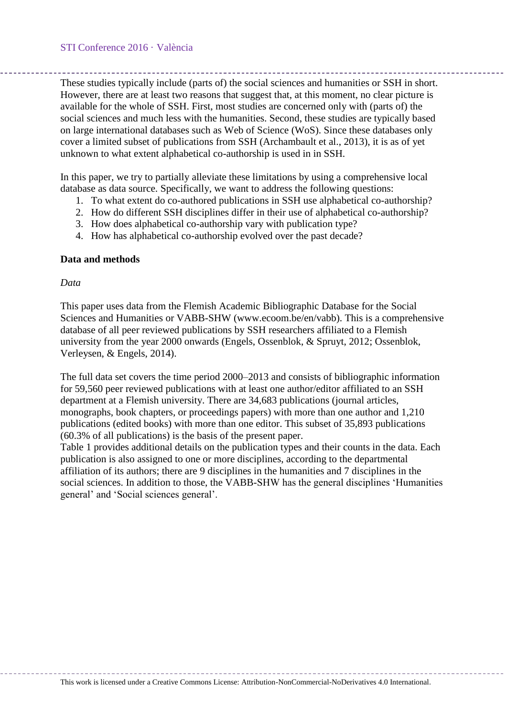These studies typically include (parts of) the social sciences and humanities or SSH in short. However, there are at least two reasons that suggest that, at this moment, no clear picture is available for the whole of SSH. First, most studies are concerned only with (parts of) the social sciences and much less with the humanities. Second, these studies are typically based on large international databases such as Web of Science (WoS). Since these databases only cover a limited subset of publications from SSH (Archambault et al., 2013), it is as of yet unknown to what extent alphabetical co-authorship is used in in SSH.

In this paper, we try to partially alleviate these limitations by using a comprehensive local database as data source. Specifically, we want to address the following questions:

- 1. To what extent do co-authored publications in SSH use alphabetical co-authorship?
- 2. How do different SSH disciplines differ in their use of alphabetical co-authorship?
- 3. How does alphabetical co-authorship vary with publication type?
- 4. How has alphabetical co-authorship evolved over the past decade?

### **Data and methods**

### *Data*

This paper uses data from the Flemish Academic Bibliographic Database for the Social Sciences and Humanities or VABB-SHW (www.ecoom.be/en/vabb). This is a comprehensive database of all peer reviewed publications by SSH researchers affiliated to a Flemish university from the year 2000 onwards (Engels, Ossenblok, & Spruyt, 2012; Ossenblok, Verleysen, & Engels, 2014).

The full data set covers the time period 2000–2013 and consists of bibliographic information for 59,560 peer reviewed publications with at least one author/editor affiliated to an SSH department at a Flemish university. There are 34,683 publications (journal articles, monographs, book chapters, or proceedings papers) with more than one author and 1,210 publications (edited books) with more than one editor. This subset of 35,893 publications (60.3% of all publications) is the basis of the present paper.

[Table 1](#page-2-0) provides additional details on the publication types and their counts in the data. Each publication is also assigned to one or more disciplines, according to the departmental affiliation of its authors; there are 9 disciplines in the humanities and 7 disciplines in the social sciences. In addition to those, the VABB-SHW has the general disciplines 'Humanities general' and 'Social sciences general'.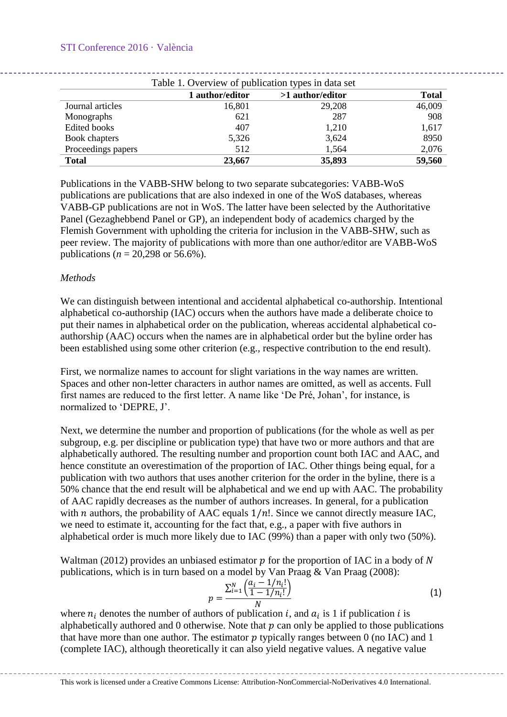# STI Conference 2016 · València

<span id="page-2-0"></span>

| Table 1. Overview of publication types in data set |                 |                  |              |  |
|----------------------------------------------------|-----------------|------------------|--------------|--|
|                                                    | 1 author/editor | >1 author/editor | <b>Total</b> |  |
| Journal articles                                   | 16,801          | 29,208           | 46,009       |  |
| Monographs                                         | 621             | 287              | 908          |  |
| Edited books                                       | 407             | 1,210            | 1,617        |  |
| Book chapters                                      | 5,326           | 3,624            | 8950         |  |
| Proceedings papers                                 | 512             | 1,564            | 2,076        |  |
| <b>Total</b>                                       | 23,667          | 35,893           | 59,560       |  |

Publications in the VABB-SHW belong to two separate subcategories: VABB-WoS publications are publications that are also indexed in one of the WoS databases, whereas VABB-GP publications are not in WoS. The latter have been selected by the Authoritative Panel (Gezaghebbend Panel or GP), an independent body of academics charged by the Flemish Government with upholding the criteria for inclusion in the VABB-SHW, such as peer review. The majority of publications with more than one author/editor are VABB-WoS publications (*n* = 20,298 or 56.6%).

# *Methods*

We can distinguish between intentional and accidental alphabetical co-authorship. Intentional alphabetical co-authorship (IAC) occurs when the authors have made a deliberate choice to put their names in alphabetical order on the publication, whereas accidental alphabetical coauthorship (AAC) occurs when the names are in alphabetical order but the byline order has been established using some other criterion (e.g., respective contribution to the end result).

First, we normalize names to account for slight variations in the way names are written. Spaces and other non-letter characters in author names are omitted, as well as accents. Full first names are reduced to the first letter. A name like 'De Pré, Johan', for instance, is normalized to 'DEPRE, J'.

Next, we determine the number and proportion of publications (for the whole as well as per subgroup, e.g. per discipline or publication type) that have two or more authors and that are alphabetically authored. The resulting number and proportion count both IAC and AAC, and hence constitute an overestimation of the proportion of IAC. Other things being equal, for a publication with two authors that uses another criterion for the order in the byline, there is a 50% chance that the end result will be alphabetical and we end up with AAC. The probability of AAC rapidly decreases as the number of authors increases. In general, for a publication with  $n$  authors, the probability of AAC equals  $1/n!$ . Since we cannot directly measure IAC, we need to estimate it, accounting for the fact that, e.g., a paper with five authors in alphabetical order is much more likely due to IAC (99%) than a paper with only two (50%).

Waltman (2012) provides an unbiased estimator  $p$  for the proportion of IAC in a body of N publications, which is in turn based on a model by Van Praag & Van Praag (2008):

$$
p = \frac{\sum_{i=1}^{N} \left( \frac{a_i - 1/n_i!}{1 - 1/n_i!} \right)}{N} \tag{1}
$$

where  $n_i$  denotes the number of authors of publication *i*, and  $a_i$  is 1 if publication *i* is alphabetically authored and  $0$  otherwise. Note that  $p$  can only be applied to those publications that have more than one author. The estimator  $p$  typically ranges between 0 (no IAC) and 1 (complete IAC), although theoretically it can also yield negative values. A negative value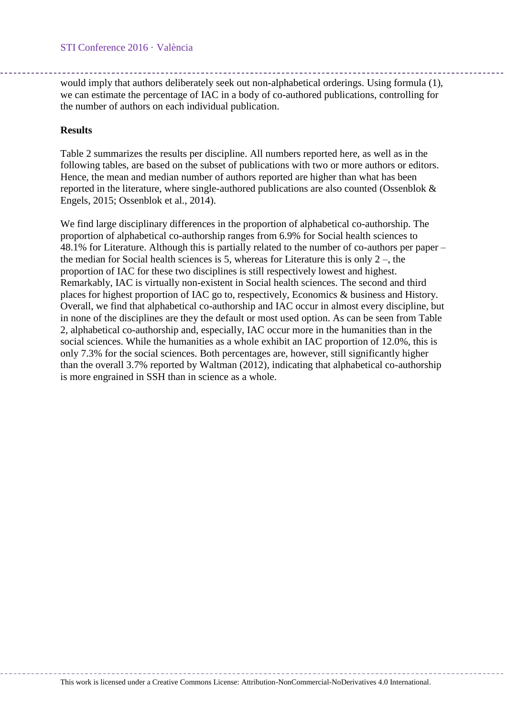would imply that authors deliberately seek out non-alphabetical orderings. Using formula (1), we can estimate the percentage of IAC in a body of co-authored publications, controlling for the number of authors on each individual publication.

# **Results**

[Table 2](#page-4-0) summarizes the results per discipline. All numbers reported here, as well as in the following tables, are based on the subset of publications with two or more authors or editors. Hence, the mean and median number of authors reported are higher than what has been reported in the literature, where single-authored publications are also counted (Ossenblok & Engels, 2015; Ossenblok et al., 2014).

We find large disciplinary differences in the proportion of alphabetical co-authorship. The proportion of alphabetical co-authorship ranges from 6.9% for Social health sciences to 48.1% for Literature. Although this is partially related to the number of co-authors per paper – the median for Social health sciences is 5, whereas for Literature this is only  $2 -$ , the proportion of IAC for these two disciplines is still respectively lowest and highest. Remarkably, IAC is virtually non-existent in Social health sciences. The second and third places for highest proportion of IAC go to, respectively, Economics & business and History. Overall, we find that alphabetical co-authorship and IAC occur in almost every discipline, but in none of the disciplines are they the default or most used option. As can be seen from [Table](#page-4-0)  [2,](#page-4-0) alphabetical co-authorship and, especially, IAC occur more in the humanities than in the social sciences. While the humanities as a whole exhibit an IAC proportion of 12.0%, this is only 7.3% for the social sciences. Both percentages are, however, still significantly higher than the overall 3.7% reported by Waltman (2012), indicating that alphabetical co-authorship is more engrained in SSH than in science as a whole.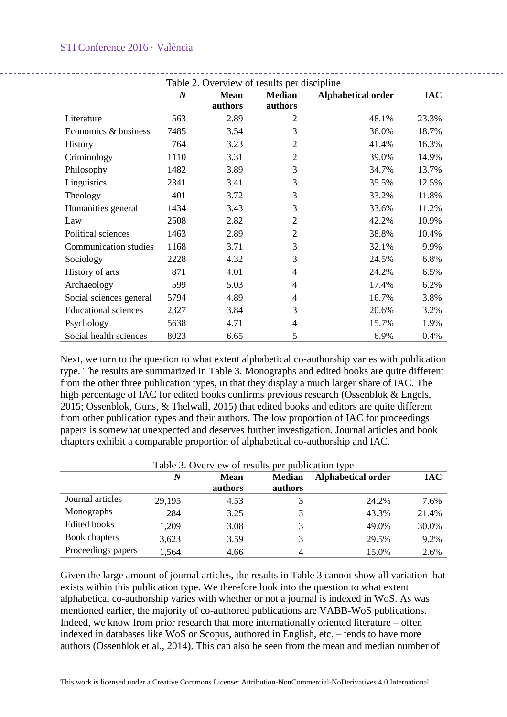# STI Conference 2016 · València

<span id="page-4-0"></span>

|                              | $\boldsymbol{N}$ | Table 2. Overview of results per discipline<br><b>Mean</b> | <b>Median</b>  | Alphabetical order | <b>IAC</b> |
|------------------------------|------------------|------------------------------------------------------------|----------------|--------------------|------------|
|                              |                  | authors                                                    | authors        |                    |            |
| Literature                   | 563              | 2.89                                                       | $\overline{2}$ | 48.1%              | 23.3%      |
| Economics & business         | 7485             | 3.54                                                       | 3              | 36.0%              | 18.7%      |
| <b>History</b>               | 764              | 3.23                                                       | 2              | 41.4%              | 16.3%      |
| Criminology                  | 1110             | 3.31                                                       | 2              | 39.0%              | 14.9%      |
| Philosophy                   | 1482             | 3.89                                                       | 3              | 34.7%              | 13.7%      |
| Linguistics                  | 2341             | 3.41                                                       | 3              | 35.5%              | 12.5%      |
| Theology                     | 401              | 3.72                                                       | 3              | 33.2%              | 11.8%      |
| Humanities general           | 1434             | 3.43                                                       | 3              | 33.6%              | 11.2%      |
| Law                          | 2508             | 2.82                                                       | 2              | 42.2%              | 10.9%      |
| Political sciences           | 1463             | 2.89                                                       | $\overline{2}$ | 38.8%              | 10.4%      |
| <b>Communication studies</b> | 1168             | 3.71                                                       | 3              | 32.1%              | 9.9%       |
| Sociology                    | 2228             | 4.32                                                       | 3              | 24.5%              | 6.8%       |
| History of arts              | 871              | 4.01                                                       | 4              | 24.2%              | 6.5%       |
| Archaeology                  | 599              | 5.03                                                       | 4              | 17.4%              | 6.2%       |
| Social sciences general      | 5794             | 4.89                                                       | 4              | 16.7%              | 3.8%       |
| <b>Educational sciences</b>  | 2327             | 3.84                                                       | 3              | 20.6%              | 3.2%       |
| Psychology                   | 5638             | 4.71                                                       | 4              | 15.7%              | 1.9%       |
| Social health sciences       | 8023             | 6.65                                                       | 5              | 6.9%               | 0.4%       |

Next, we turn to the question to what extent alphabetical co-authorship varies with publication type. The results are summarized in [Table 3.](#page-4-1) Monographs and edited books are quite different from the other three publication types, in that they display a much larger share of IAC. The high percentage of IAC for edited books confirms previous research (Ossenblok & Engels, 2015; Ossenblok, Guns, & Thelwall, 2015) that edited books and editors are quite different from other publication types and their authors. The low proportion of IAC for proceedings papers is somewhat unexpected and deserves further investigation. Journal articles and book chapters exhibit a comparable proportion of alphabetical co-authorship and IAC.

<span id="page-4-1"></span>

| Table 3. Overview of results per publication type |        |                 |                          |                    |            |
|---------------------------------------------------|--------|-----------------|--------------------------|--------------------|------------|
|                                                   | N      | Mean<br>authors | <b>Median</b><br>authors | Alphabetical order | <b>IAC</b> |
| Journal articles                                  | 29,195 | 4.53            | 3                        | 24.2%              | 7.6%       |
| Monographs                                        | 284    | 3.25            | 3                        | 43.3%              | 21.4%      |
| <b>Edited books</b>                               | 1,209  | 3.08            | 3                        | 49.0%              | 30.0%      |
| Book chapters                                     | 3,623  | 3.59            | 3                        | 29.5%              | 9.2%       |
| Proceedings papers                                | 1,564  | 4.66            | 4                        | 15.0%              | 2.6%       |

Given the large amount of journal articles, the results in [Table 3](#page-4-1) cannot show all variation that exists within this publication type. We therefore look into the question to what extent alphabetical co-authorship varies with whether or not a journal is indexed in WoS. As was mentioned earlier, the majority of co-authored publications are VABB-WoS publications. Indeed, we know from prior research that more internationally oriented literature – often indexed in databases like WoS or Scopus, authored in English, etc. – tends to have more authors (Ossenblok et al., 2014). This can also be seen from the mean and median number of

This work is licensed under a Creative Commons License: Attribution-NonCommercial-NoDerivatives 4.0 International.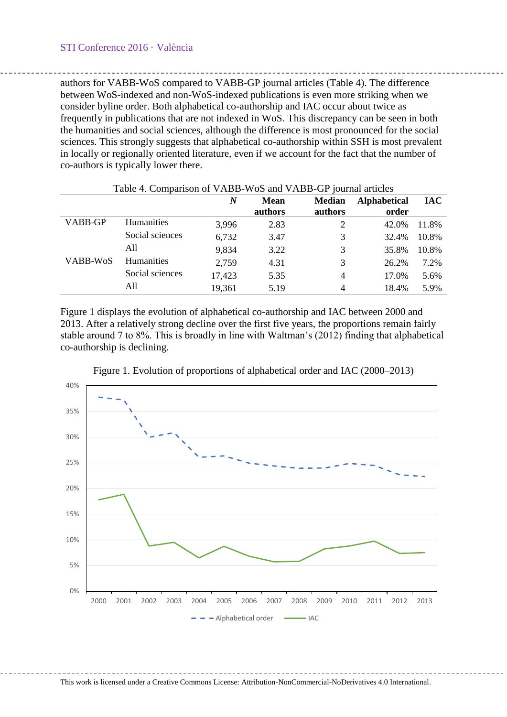authors for VABB-WoS compared to VABB-GP journal articles [\(Table 4\)](#page-5-0). The difference between WoS-indexed and non-WoS-indexed publications is even more striking when we consider byline order. Both alphabetical co-authorship and IAC occur about twice as frequently in publications that are not indexed in WoS. This discrepancy can be seen in both the humanities and social sciences, although the difference is most pronounced for the social sciences. This strongly suggests that alphabetical co-authorship within SSH is most prevalent in locally or regionally oriented literature, even if we account for the fact that the number of co-authors is typically lower there.

<span id="page-5-0"></span>

|          |                 | N      | <b>Mean</b> | <b>Median</b> | <b>Alphabetical</b> | <b>IAC</b> |
|----------|-----------------|--------|-------------|---------------|---------------------|------------|
|          |                 |        | authors     | authors       | order               |            |
| VABB-GP  | Humanities      | 3,996  | 2.83        | 2             | 42.0%               | 11.8%      |
|          | Social sciences | 6,732  | 3.47        | 3             | 32.4%               | 10.8%      |
|          | A11             | 9,834  | 3.22        | 3             | 35.8%               | 10.8%      |
| VABB-WoS | Humanities      | 2,759  | 4.31        | 3             | 26.2%               | 7.2%       |
|          | Social sciences | 17,423 | 5.35        | 4             | 17.0%               | 5.6%       |
|          | All             | 19,361 | 5.19        | 4             | 18.4%               | 5.9%       |

# Table 4. Comparison of VABB-WoS and VABB-GP journal articles

[Figure 1](#page-5-1) displays the evolution of alphabetical co-authorship and IAC between 2000 and 2013. After a relatively strong decline over the first five years, the proportions remain fairly stable around 7 to 8%. This is broadly in line with Waltman's (2012) finding that alphabetical co-authorship is declining.

<span id="page-5-1"></span>

Figure 1. Evolution of proportions of alphabetical order and IAC (2000–2013)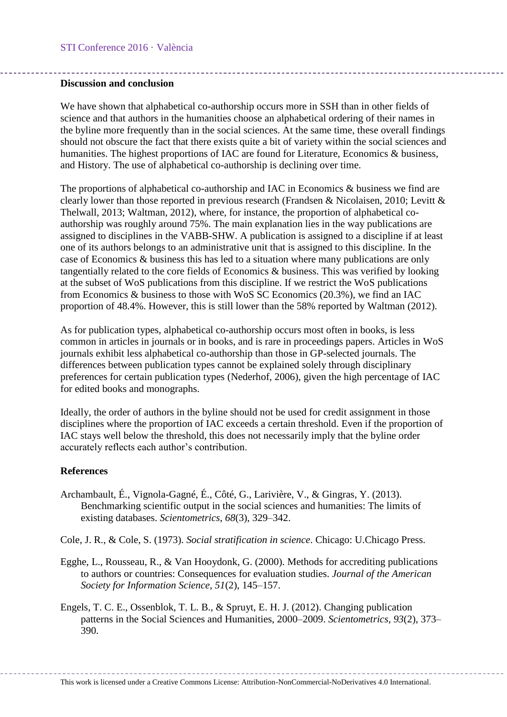### **Discussion and conclusion**

We have shown that alphabetical co-authorship occurs more in SSH than in other fields of science and that authors in the humanities choose an alphabetical ordering of their names in the byline more frequently than in the social sciences. At the same time, these overall findings should not obscure the fact that there exists quite a bit of variety within the social sciences and humanities. The highest proportions of IAC are found for Literature, Economics & business, and History. The use of alphabetical co-authorship is declining over time.

The proportions of alphabetical co-authorship and IAC in Economics & business we find are clearly lower than those reported in previous research (Frandsen & Nicolaisen, 2010; Levitt & Thelwall, 2013; Waltman, 2012), where, for instance, the proportion of alphabetical coauthorship was roughly around 75%. The main explanation lies in the way publications are assigned to disciplines in the VABB-SHW. A publication is assigned to a discipline if at least one of its authors belongs to an administrative unit that is assigned to this discipline. In the case of Economics & business this has led to a situation where many publications are only tangentially related to the core fields of Economics & business. This was verified by looking at the subset of WoS publications from this discipline. If we restrict the WoS publications from Economics & business to those with WoS SC Economics (20.3%), we find an IAC proportion of 48.4%. However, this is still lower than the 58% reported by Waltman (2012).

As for publication types, alphabetical co-authorship occurs most often in books, is less common in articles in journals or in books, and is rare in proceedings papers. Articles in WoS journals exhibit less alphabetical co-authorship than those in GP-selected journals. The differences between publication types cannot be explained solely through disciplinary preferences for certain publication types (Nederhof, 2006), given the high percentage of IAC for edited books and monographs.

Ideally, the order of authors in the byline should not be used for credit assignment in those disciplines where the proportion of IAC exceeds a certain threshold. Even if the proportion of IAC stays well below the threshold, this does not necessarily imply that the byline order accurately reflects each author's contribution.

# **References**

- Archambault, É., Vignola-Gagné, É., Côté, G., Larivière, V., & Gingras, Y. (2013). Benchmarking scientific output in the social sciences and humanities: The limits of existing databases. *Scientometrics*, *68*(3), 329–342.
- Cole, J. R., & Cole, S. (1973). *Social stratification in science*. Chicago: U.Chicago Press.
- Egghe, L., Rousseau, R., & Van Hooydonk, G. (2000). Methods for accrediting publications to authors or countries: Consequences for evaluation studies. *Journal of the American Society for Information Science*, *51*(2), 145–157.
- Engels, T. C. E., Ossenblok, T. L. B., & Spruyt, E. H. J. (2012). Changing publication patterns in the Social Sciences and Humanities, 2000–2009. *Scientometrics*, *93*(2), 373– 390.